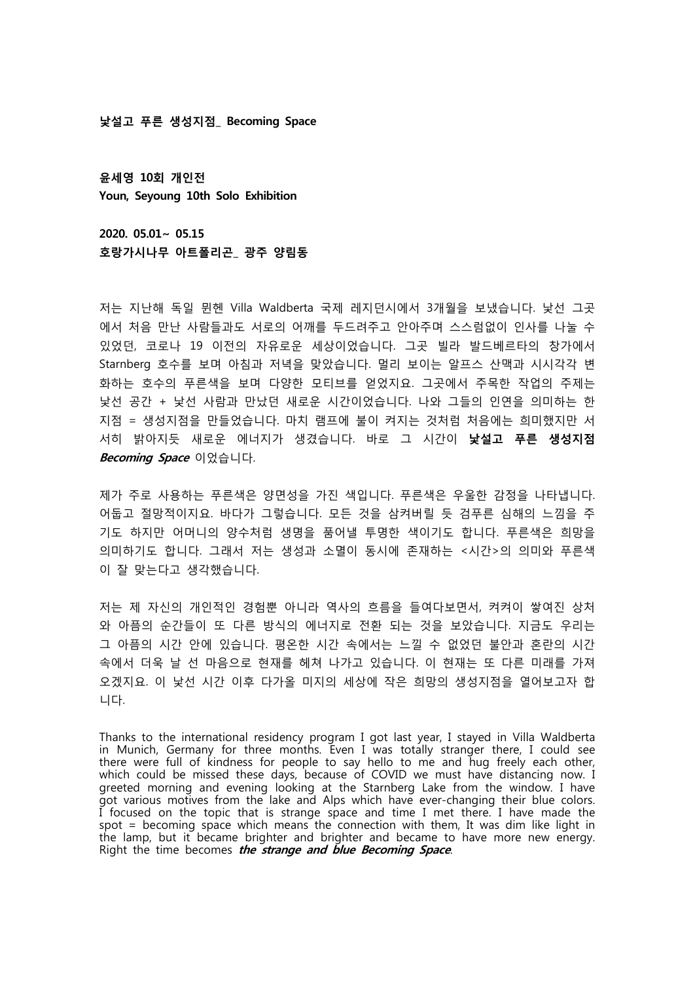**낯설고 푸른 생성지점\_ Becoming Space**

**윤세영 10회 개인전 Youn, Seyoung 10th Solo Exhibition**

**2020. 05.01~ 05.15 호랑가시나무 아트폴리곤\_ 광주 양림동**

저는 지난해 독일 뮌헨 Villa Waldberta 국제 레지던시에서 3개월을 보냈습니다. 낯선 그곳 에서 처음 만난 사람들과도 서로의 어깨를 두드려주고 안아주며 스스럼없이 인사를 나눌 수 있었던, 코로나 19 이전의 자유로운 세상이었습니다. 그곳 빌라 발드베르타의 창가에서 Starnberg 호수를 보며 아침과 저녁을 맞았습니다. 멀리 보이는 알프스 산맥과 시시각각 변 화하는 호수의 푸른색을 보며 다양한 모티브를 얻었지요. 그곳에서 주목한 작업의 주제는 낯선 공간 + 낯선 사람과 만났던 새로운 시간이었습니다. 나와 그들의 인연을 의미하는 한 지점 = 생성지점을 만들었습니다. 마치 램프에 불이 켜지는 것처럼 처음에는 희미했지만 서 서히 밝아지듯 새로운 에너지가 생겼습니다. 바로 그 시간이 **낯설고 푸른 생성지점 Becoming Space** 이었습니다.

제가 주로 사용하는 푸른색은 양면성을 가진 색입니다. 푸른색은 우울한 감정을 나타냅니다.<br>어둡고 절망적이지요. 바다가 그렇습니다. 모든 것을 삼켜버릴 듯 검푸른 심해의 느낌을 주 기도 하지만 어머니의 양수처럼 생명을 품어낼 투명한 색이기도 합니다. 푸른색은 희망을 의미하기도 합니다. 그래서 저는 생성과 소멸이 동시에 존재하는 <시간>의 의미와 푸른색 이 잘 맞는다고 생각했습니다.<br><br>저는 제 자신의 개인적인 경험뿐 아니라 역사의 흐름을 들여다보면서, 켜켜이 쌓여진 상처

와 아픔의 순간들이 또 다른 방식의 에너지로 전환 되는 것을 보았습니다. 지금도 우리는 그 아픔의 시간 안에 있습니다. 평온한 시간 속에서는 느낄 수 없었던 불안과 혼란의 시간 속에서 더욱 날 선 마음으로 현재를 헤쳐 나가고 있습니다. 이 현재는 또 다른 미래를 가져 오겠지요. 이 낯선 시간 이후 다가올 미지의 세상에 작은 희망의 생성지점을 열어보고자 합 니다.

Thanks to the international residency program I got last year, I stayed in Villa Waldberta in Munich, Germany for three months. Even I was totally stranger there, I could see there were full of kindness for people to say hello to me and hug freely each other, which could be missed these days, because of COVID we must have distancing now. I greeted morning and evening looking at the Starnberg Lake from the window. I have got various motives from the lake and Alps which have ever-changing their blue colors. I focused on the topic that is strange space and time I met there. I have made the spot = becoming space which means the connection with them, It was dim like light in the lamp, but it became brighter and brighter and became to have more new energy. Right the time becomes **the strange and blue Becoming Space**.